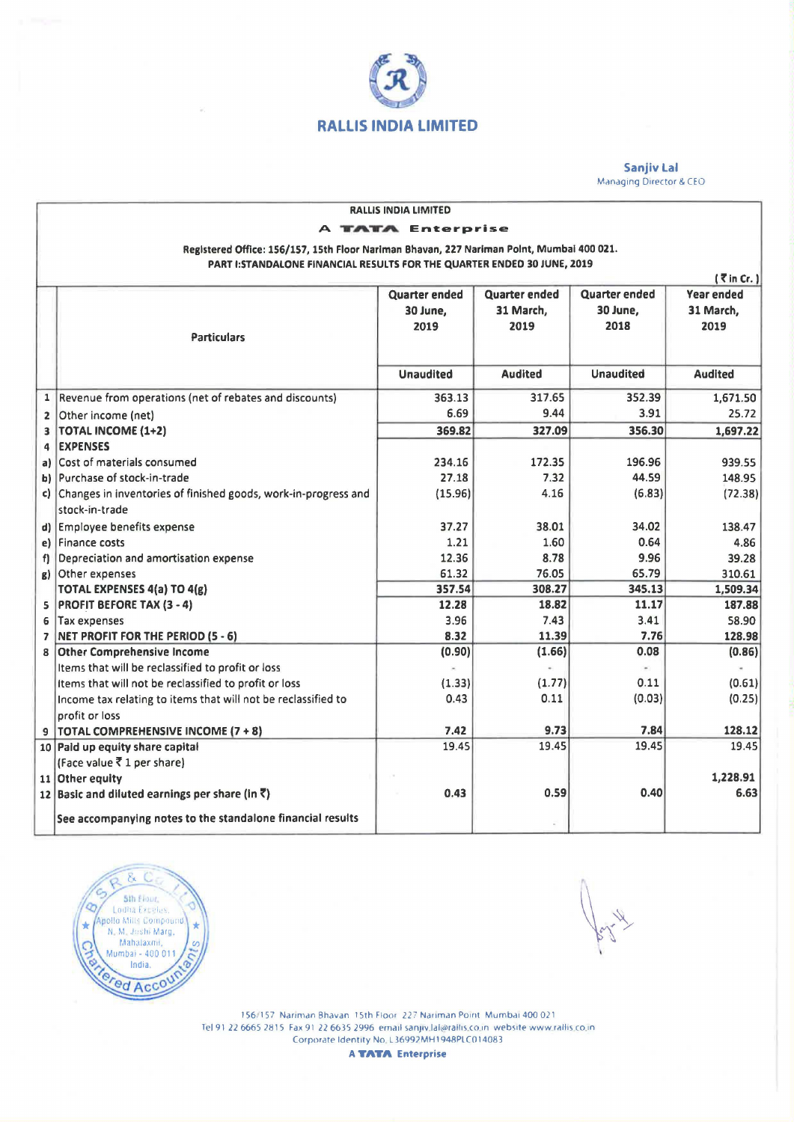

Sanjiv Lal Managing Director & CEO

| <b>RALLIS INDIA LIMITED</b>                                                               |                                                                   |                      |                      |                      |                   |
|-------------------------------------------------------------------------------------------|-------------------------------------------------------------------|----------------------|----------------------|----------------------|-------------------|
| <b>TATA Enterprise</b>                                                                    |                                                                   |                      |                      |                      |                   |
| Registered Office: 156/157, 15th Floor Nariman Bhavan, 227 Nariman Point, Mumbai 400 021. |                                                                   |                      |                      |                      |                   |
| PART I: STANDALONE FINANCIAL RESULTS FOR THE QUARTER ENDED 30 JUNE, 2019                  |                                                                   |                      |                      |                      |                   |
| $(7$ in Cr.)                                                                              |                                                                   |                      |                      |                      |                   |
|                                                                                           |                                                                   | <b>Quarter ended</b> | <b>Quarter ended</b> | <b>Quarter ended</b> | <b>Year ended</b> |
|                                                                                           |                                                                   | 30 June,             | 31 March,            | 30 June,             | 31 March,         |
|                                                                                           |                                                                   | 2019                 | 2019                 | 2018                 | 2019              |
|                                                                                           | <b>Particulars</b>                                                |                      |                      |                      |                   |
|                                                                                           |                                                                   |                      |                      |                      |                   |
|                                                                                           |                                                                   | <b>Unaudited</b>     | <b>Audited</b>       | <b>Unaudited</b>     | <b>Audited</b>    |
| $\mathbf{1}$                                                                              | Revenue from operations (net of rebates and discounts)            | 363.13               | 317.65               | 352.39               | 1,671.50          |
| $\overline{2}$                                                                            | Other income (net)                                                | 6.69                 | 9.44                 | 3.91                 | 25.72             |
| 3                                                                                         | <b>TOTAL INCOME (1+2)</b>                                         | 369.82               | 327.09               | 356.30               | 1,697.22          |
| 4                                                                                         | <b>EXPENSES</b>                                                   |                      |                      |                      |                   |
| a)                                                                                        | Cost of materials consumed                                        | 234.16               | 172.35               | 196.96               | 939.55            |
| b)                                                                                        | Purchase of stock-in-trade                                        | 27.18                | 7.32                 | 44.59                | 148.95            |
|                                                                                           | c) Changes in inventories of finished goods, work-in-progress and | (15.96)              | 4.16                 | (6.83)               | (72.38)           |
|                                                                                           | stock-in-trade                                                    |                      |                      |                      |                   |
| d)                                                                                        | <b>Employee benefits expense</b>                                  | 37.27                | 38.01                | 34.02                | 138.47            |
| e)                                                                                        | Finance costs                                                     | 1.21                 | 1.60                 | 0.64                 | 4.86              |
| f)                                                                                        | Depreciation and amortisation expense                             | 12.36                | 8.78                 | 9.96                 | 39.28             |
| g)                                                                                        | Other expenses                                                    | 61.32                | 76.05                | 65.79                | 310.61            |
|                                                                                           | <b>TOTAL EXPENSES 4(a) TO 4(g)</b>                                | 357.54               | 308.27               | 345.13               | 1,509.34          |
| 5                                                                                         | <b>PROFIT BEFORE TAX (3 - 4)</b>                                  | 12.28                | 18.82                | 11.17                | 187.88            |
| 6                                                                                         | Tax expenses                                                      | 3.96                 | 7.43                 | 3.41                 | 58.90             |
| $\overline{ }$                                                                            | NET PROFIT FOR THE PERIOD (5 - 6)                                 | 8.32                 | 11.39                | 7.76                 | 128.98            |
| 8                                                                                         | <b>Other Comprehensive Income</b>                                 | (0.90)               | (1.66)               | 0.08                 | (0.86)            |
|                                                                                           | Items that will be reclassified to profit or loss                 |                      |                      |                      |                   |
|                                                                                           | Items that will not be reclassified to profit or loss             | (1.33)               | (1.77)               | 0.11                 | (0.61)            |
|                                                                                           | Income tax relating to items that will not be reclassified to     | 0.43                 | 0.11                 | (0.03)               | (0.25)            |
|                                                                                           | profit or loss                                                    |                      |                      |                      |                   |
|                                                                                           | 9   TOTAL COMPREHENSIVE INCOME (7 + 8)                            | 7.42                 | 9.73                 | 7.84                 | 128.12            |
|                                                                                           | 10 Paid up equity share capital                                   | 19.45                | 19.45                | 19.45                | 19.45             |
|                                                                                           | (Face value ₹ 1 per share)<br>11 Other equity                     |                      |                      |                      | 1,228.91          |
|                                                                                           | 12 Basic and diluted earnings per share (in $\bar{z}$ )           | 0.43                 | 0.59                 | 0.40                 | 6.63              |
|                                                                                           |                                                                   |                      |                      |                      |                   |
|                                                                                           | See accompanying notes to the standalone financial results        |                      |                      |                      |                   |



156, 157 Narm,an Bhavan 15th Floor 22 7 Nariman Point Mumbai 400 021 Tel 91 22 6665 2815 Fax 91 22 6635 2996 email sanjiv.lal@rallis.co.in website www.rallis.co.in Corporate Identity No L36997MH 1948PLCO 14083

**A TATA** Enterprise